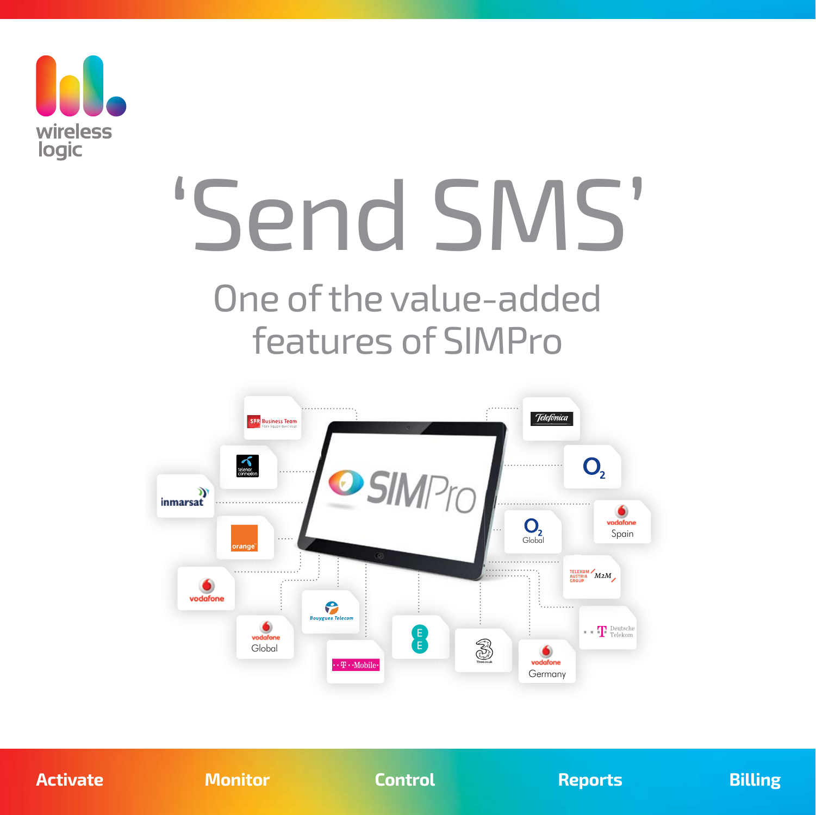

# 'Send SMS'

# One of the value-added features of SIMPro



**Activate Monitor Control Reports Billing**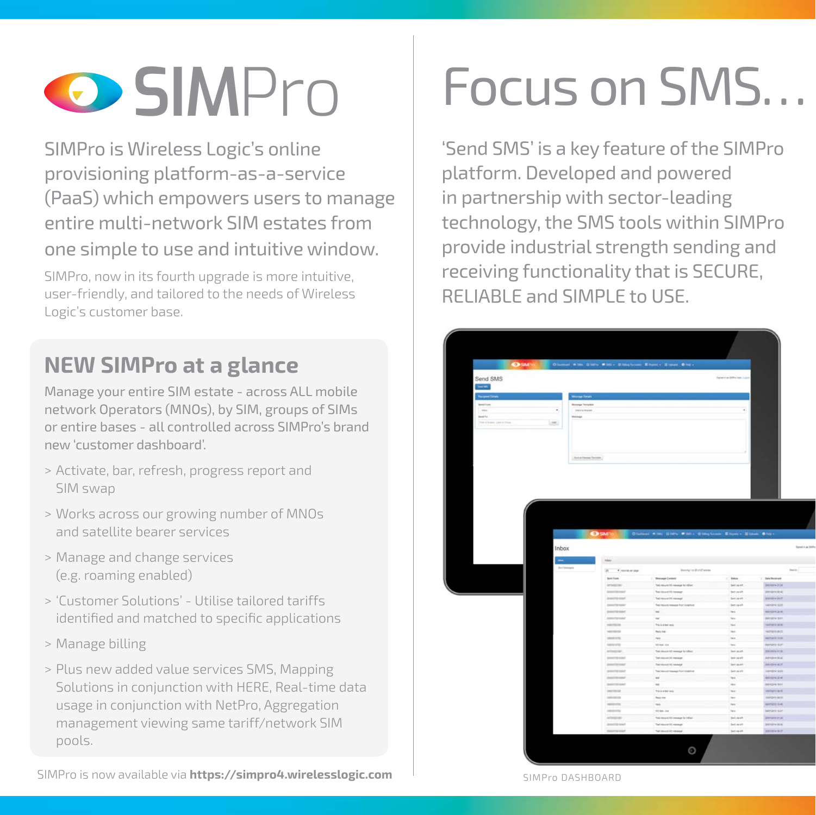

SIMPro is Wireless Logic's online provisioning platform-as-a-service (PaaS) which empowers users to manage entire multi-network SIM estates from one simple to use and intuitive window.

SIMPro, now in its fourth upgrade is more intuitive, user-friendly, and tailored to the needs of Wireless Logic's customer base.

#### **NEW SIMPro at a glance**

Manage your entire SIM estate - across ALL mobile network Operators (MNOs), by SIM, groups of SIMs or entire bases - all controlled across SIMPro's brand new 'customer dashboard'.

- > Activate, bar, refresh, progress report and SIM swap
- > Works across our growing number of MNOs and satellite bearer services
- > Manage and change services (e.g. roaming enabled)
- > 'Customer Solutions' Utilise tailored tariffs identified and matched to specific applications
- > Manage billing
- > Plus new added value services SMS, Mapping Solutions in conjunction with HERE, Real-time data usage in conjunction with NetPro, Aggregation management viewing same tariff/network SIM pools.

# **SIM**Pro Focus on SMS…

'Send SMS' is a key feature of the SIMPro platform. Developed and powered in partnership with sector-leading technology, the SMS tools within SIMPro provide industrial strength sending and receiving functionality that is SECURE, RELIABLE and SIMPLE to USE.

|                           |                        |                        |                                        | CARS Chang #36 Date #30+ Ellipton Ellen Ellipt Bit- |                             |                                                                                                                                                                                                                                                                                                                                                                                           |
|---------------------------|------------------------|------------------------|----------------------------------------|-----------------------------------------------------|-----------------------------|-------------------------------------------------------------------------------------------------------------------------------------------------------------------------------------------------------------------------------------------------------------------------------------------------------------------------------------------------------------------------------------------|
| Send SMS                  |                        |                        |                                        |                                                     | Farmer to define your Louis |                                                                                                                                                                                                                                                                                                                                                                                           |
| Server.                   |                        |                        |                                        |                                                     |                             |                                                                                                                                                                                                                                                                                                                                                                                           |
| <b>Respect Strate</b>     |                        | Woog Drah              |                                        |                                                     |                             |                                                                                                                                                                                                                                                                                                                                                                                           |
| bestive.                  |                        | <b>Honoye Templers</b> |                                        |                                                     |                             |                                                                                                                                                                                                                                                                                                                                                                                           |
| m                         | ٠                      | Inclament              |                                        |                                                     | v                           |                                                                                                                                                                                                                                                                                                                                                                                           |
| <b>Send To</b>            |                        | <b>Strings</b>         |                                        |                                                     |                             |                                                                                                                                                                                                                                                                                                                                                                                           |
| Free players cover lines. | <b>Legal</b>           |                        |                                        |                                                     |                             |                                                                                                                                                                                                                                                                                                                                                                                           |
|                           |                        |                        |                                        |                                                     |                             |                                                                                                                                                                                                                                                                                                                                                                                           |
|                           |                        | Suita Huma Territo     |                                        |                                                     |                             |                                                                                                                                                                                                                                                                                                                                                                                           |
|                           |                        |                        |                                        |                                                     |                             |                                                                                                                                                                                                                                                                                                                                                                                           |
|                           | <b>Inbox</b><br>$\sim$ |                        | black.                                 | SM'rs Claims # W. SW's Blackson Elem - SWA Class    |                             |                                                                                                                                                                                                                                                                                                                                                                                           |
|                           |                        | <b>Detiveness</b>      | 20 President page                      | Invest to the Union                                 |                             |                                                                                                                                                                                                                                                                                                                                                                                           |
|                           |                        |                        | <b>Bert From</b>                       | 1 Bernard Corner                                    | 1,1000                      | <b>L. Des Recovert</b>                                                                                                                                                                                                                                                                                                                                                                    |
|                           |                        |                        | images.                                | Tel: (Gun) III rawsp bridget                        | ter-auto                    |                                                                                                                                                                                                                                                                                                                                                                                           |
|                           |                        |                        | posterior                              | Test identified by transport                        | termit                      |                                                                                                                                                                                                                                                                                                                                                                                           |
|                           |                        |                        | <b>American</b>                        | Test interest in exempt                             | farmer and it               |                                                                                                                                                                                                                                                                                                                                                                                           |
|                           |                        |                        | <b>Joseph Wales</b><br><b>SHIPPERS</b> | Test hours house hor Victories<br>$\sim$            | <b>Servant</b><br>$\approx$ |                                                                                                                                                                                                                                                                                                                                                                                           |
|                           |                        |                        | postpar                                | $\sim$                                              | $\sim$                      |                                                                                                                                                                                                                                                                                                                                                                                           |
|                           |                        |                        | payment.                               | This is a warring on                                | ter.                        |                                                                                                                                                                                                                                                                                                                                                                                           |
|                           |                        |                        | <b>NORTHERN</b>                        | <b>Back-Hal</b>                                     | tion.                       |                                                                                                                                                                                                                                                                                                                                                                                           |
|                           |                        |                        | search.<br><b>MENTE</b>                | $\rightarrow$<br><b>Art lead</b> clied              | $\sim$<br>ter.              |                                                                                                                                                                                                                                                                                                                                                                                           |
|                           |                        |                        | artmenten.                             | That is bounded to remain to refine                 | fer mit                     |                                                                                                                                                                                                                                                                                                                                                                                           |
|                           |                        |                        | <b>SHAFFERDAY</b>                      | Test several life removal                           | <b>Tell value</b>           |                                                                                                                                                                                                                                                                                                                                                                                           |
|                           |                        |                        | portered                               | The result of the sample                            | tensis                      |                                                                                                                                                                                                                                                                                                                                                                                           |
|                           |                        |                        | portered                               | Total interest research from students               | tenant                      |                                                                                                                                                                                                                                                                                                                                                                                           |
|                           |                        |                        | portener                               | $_{\rm m}$                                          | $\omega_{f}$                |                                                                                                                                                                                                                                                                                                                                                                                           |
|                           |                        |                        | <b>SHIPPING</b>                        | $\omega$<br>Transportant                            | $\sim$                      |                                                                                                                                                                                                                                                                                                                                                                                           |
|                           |                        |                        | permost.<br><b>SERVICE</b>             | <b>Built me</b>                                     | $_{\rm{tot}}$<br>ter.       |                                                                                                                                                                                                                                                                                                                                                                                           |
|                           |                        |                        | seemed or                              | $-1$                                                | $\mathbf{10}$               |                                                                                                                                                                                                                                                                                                                                                                                           |
|                           |                        |                        | seemed                                 | 32 kg - 24                                          | ties.                       |                                                                                                                                                                                                                                                                                                                                                                                           |
|                           |                        |                        | atminst                                | Tel Heyid IS mange by Albert                        | <b>Security</b>             | <b>AUGUSTI</b><br><b>Johnstein 4</b><br>аноние<br><b>HERMITER</b><br><b>MOTOR</b> IN 18<br><b>HOSPHSHI</b><br><b>HERRICH</b><br>HARDHAM SEXS<br><b>MATERIALS</b><br><b>Highard (Gar</b><br><b>SHIPMICH</b><br>patrices to an<br>meinister<br>istratvi dati<br><b>MODINIZIAE</b><br><b>INSURANCE</b><br><b>INSTALLIAN</b><br>isturnati<br>Hertard (SM)<br>retrarti qui<br>2010/01/11 01:38 |
|                           |                        |                        | particular<br><b><i>DISTURBAN</i></b>  | Tel: Hours 12 newspt<br>Tel: Houst 20 Hennet        | telision<br>fare caller     | 20010291044<br><b>SHEEPH IN IT</b>                                                                                                                                                                                                                                                                                                                                                        |

SIMPro is now available via **https://simpro4.wirelesslogic.com**

SIMPro DASHBOARD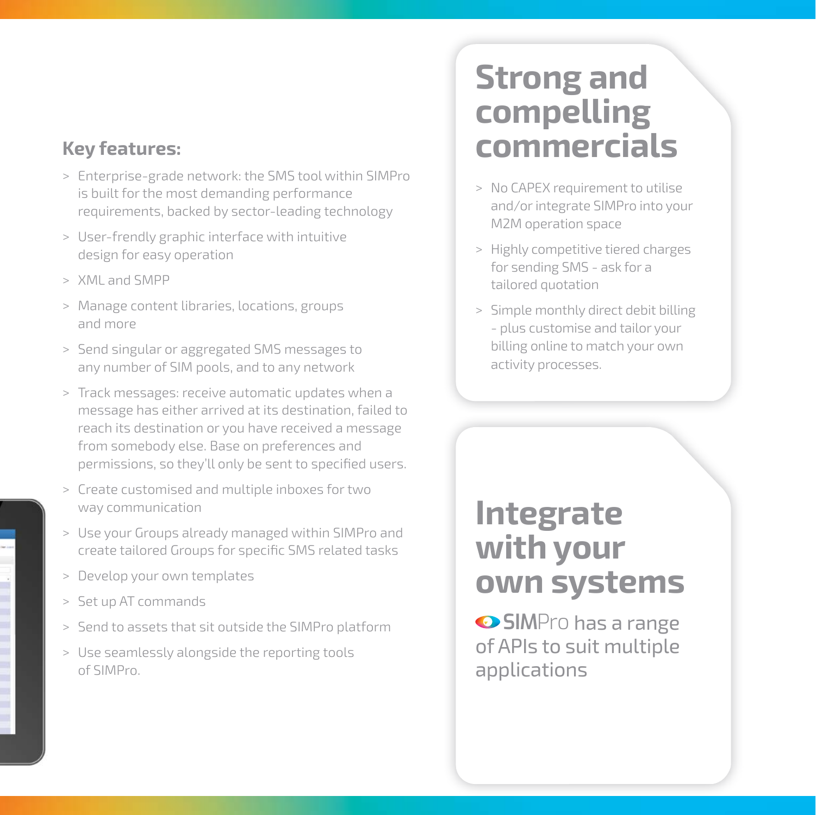#### **Key features:**

- > Enterprise-grade network: the SMS tool within SIMPro is built for the most demanding performance requirements, backed by sector-leading technology
- > User-frendly graphic interface with intuitive design for easy operation
- > XML and SMPP
- > Manage content libraries, locations, groups and more
- > Send singular or aggregated SMS messages to any number of SIM pools, and to any network
- > Track messages: receive automatic updates when a message has either arrived at its destination, failed to reach its destination or you have received a message from somebody else. Base on preferences and permissions, so they'll only be sent to specified users.
- > Create customised and multiple inboxes for two way communication
- > Use your Groups already managed within SIMPro and create tailored Groups for specific SMS related tasks
- > Develop your own templates
- > Set up AT commands
- > Send to assets that sit outside the SIMPro platform
- > Use seamlessly alongside the reporting tools of SIMPro.

## **Strong and compelling commercials**

- > No CAPEX requirement to utilise and/or integrate SIMPro into your M2M operation space
- > Highly competitive tiered charges for sending SMS - ask for a tailored quotation
- > Simple monthly direct debit billing - plus customise and tailor your billing online to match your own activity processes.

### **Integrate with your own systems**

 $\odot$  **SIM**Pro has a range of APIs to suit multiple applications